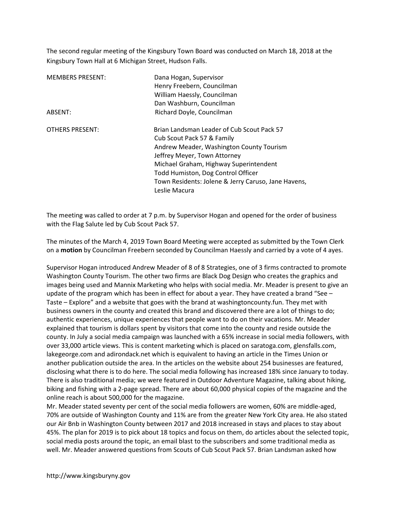The second regular meeting of the Kingsbury Town Board was conducted on March 18, 2018 at the Kingsbury Town Hall at 6 Michigan Street, Hudson Falls.

| <b>MEMBERS PRESENT:</b> | Dana Hogan, Supervisor<br>Henry Freebern, Councilman<br>William Haessly, Councilman |
|-------------------------|-------------------------------------------------------------------------------------|
|                         | Dan Washburn, Councilman                                                            |
| ABSENT:                 | Richard Doyle, Councilman                                                           |
| <b>OTHERS PRESENT:</b>  | Brian Landsman Leader of Cub Scout Pack 57                                          |
|                         | Cub Scout Pack 57 & Family                                                          |
|                         | Andrew Meader, Washington County Tourism                                            |
|                         | Jeffrey Meyer, Town Attorney                                                        |
|                         | Michael Graham, Highway Superintendent                                              |
|                         | Todd Humiston, Dog Control Officer                                                  |
|                         | Town Residents: Jolene & Jerry Caruso, Jane Havens,                                 |
|                         | Leslie Macura                                                                       |

The meeting was called to order at 7 p.m. by Supervisor Hogan and opened for the order of business with the Flag Salute led by Cub Scout Pack 57.

The minutes of the March 4, 2019 Town Board Meeting were accepted as submitted by the Town Clerk on a motion by Councilman Freebern seconded by Councilman Haessly and carried by a vote of 4 ayes.

Supervisor Hogan introduced Andrew Meader of 8 of 8 Strategies, one of 3 firms contracted to promote Washington County Tourism. The other two firms are Black Dog Design who creates the graphics and images being used and Mannix Marketing who helps with social media. Mr. Meader is present to give an update of the program which has been in effect for about a year. They have created a brand "See – Taste – Explore" and a website that goes with the brand at washingtoncounty.fun. They met with business owners in the county and created this brand and discovered there are a lot of things to do; authentic experiences, unique experiences that people want to do on their vacations. Mr. Meader explained that tourism is dollars spent by visitors that come into the county and reside outside the county. In July a social media campaign was launched with a 65% increase in social media followers, with over 33,000 article views. This is content marketing which is placed on saratoga.com, glensfalls.com, lakegeorge.com and adirondack.net which is equivalent to having an article in the Times Union or another publication outside the area. In the articles on the website about 254 businesses are featured, disclosing what there is to do here. The social media following has increased 18% since January to today. There is also traditional media; we were featured in Outdoor Adventure Magazine, talking about hiking, biking and fishing with a 2-page spread. There are about 60,000 physical copies of the magazine and the online reach is about 500,000 for the magazine.

Mr. Meader stated seventy per cent of the social media followers are women, 60% are middle-aged, 70% are outside of Washington County and 11% are from the greater New York City area. He also stated our Air Bnb in Washington County between 2017 and 2018 increased in stays and places to stay about 45%. The plan for 2019 is to pick about 18 topics and focus on them, do articles about the selected topic, social media posts around the topic, an email blast to the subscribers and some traditional media as well. Mr. Meader answered questions from Scouts of Cub Scout Pack 57. Brian Landsman asked how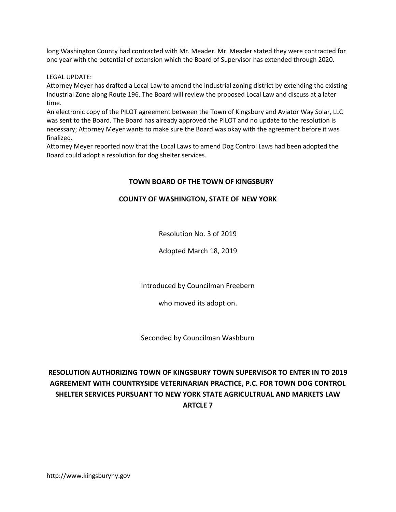long Washington County had contracted with Mr. Meader. Mr. Meader stated they were contracted for one year with the potential of extension which the Board of Supervisor has extended through 2020.

LEGAL UPDATE:

Attorney Meyer has drafted a Local Law to amend the industrial zoning district by extending the existing Industrial Zone along Route 196. The Board will review the proposed Local Law and discuss at a later time.

An electronic copy of the PILOT agreement between the Town of Kingsbury and Aviator Way Solar, LLC was sent to the Board. The Board has already approved the PILOT and no update to the resolution is necessary; Attorney Meyer wants to make sure the Board was okay with the agreement before it was finalized.

Attorney Meyer reported now that the Local Laws to amend Dog Control Laws had been adopted the Board could adopt a resolution for dog shelter services.

# TOWN BOARD OF THE TOWN OF KINGSBURY

# COUNTY OF WASHINGTON, STATE OF NEW YORK

Resolution No. 3 of 2019

Adopted March 18, 2019

Introduced by Councilman Freebern

who moved its adoption.

Seconded by Councilman Washburn

# RESOLUTION AUTHORIZING TOWN OF KINGSBURY TOWN SUPERVISOR TO ENTER IN TO 2019 AGREEMENT WITH COUNTRYSIDE VETERINARIAN PRACTICE, P.C. FOR TOWN DOG CONTROL SHELTER SERVICES PURSUANT TO NEW YORK STATE AGRICULTRUAL AND MARKETS LAW ARTCLE 7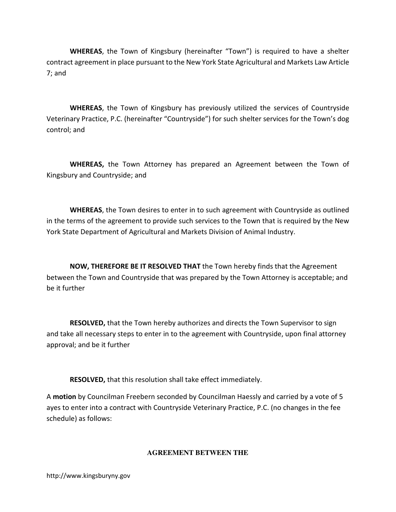WHEREAS, the Town of Kingsbury (hereinafter "Town") is required to have a shelter contract agreement in place pursuant to the New York State Agricultural and Markets Law Article 7; and

WHEREAS, the Town of Kingsbury has previously utilized the services of Countryside Veterinary Practice, P.C. (hereinafter "Countryside") for such shelter services for the Town's dog control; and

WHEREAS, the Town Attorney has prepared an Agreement between the Town of Kingsbury and Countryside; and

WHEREAS, the Town desires to enter in to such agreement with Countryside as outlined in the terms of the agreement to provide such services to the Town that is required by the New York State Department of Agricultural and Markets Division of Animal Industry.

NOW, THEREFORE BE IT RESOLVED THAT the Town hereby finds that the Agreement between the Town and Countryside that was prepared by the Town Attorney is acceptable; and be it further

RESOLVED, that the Town hereby authorizes and directs the Town Supervisor to sign and take all necessary steps to enter in to the agreement with Countryside, upon final attorney approval; and be it further

RESOLVED, that this resolution shall take effect immediately.

A motion by Councilman Freebern seconded by Councilman Haessly and carried by a vote of 5 ayes to enter into a contract with Countryside Veterinary Practice, P.C. (no changes in the fee schedule) as follows:

# **AGREEMENT BETWEEN THE**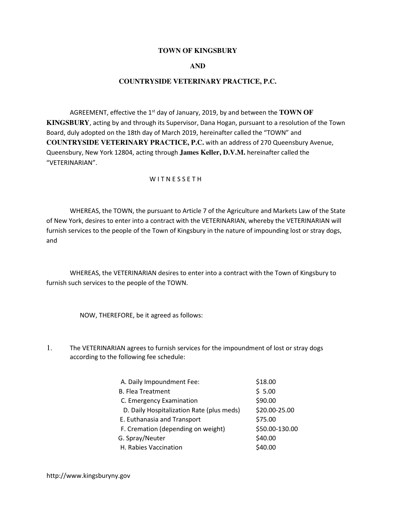#### **TOWN OF KINGSBURY**

## **AND**

### **COUNTRYSIDE VETERINARY PRACTICE, P.C.**

AGREEMENT, effective the 1<sup>st</sup> day of January, 2019, by and between the **TOWN OF KINGSBURY**, acting by and through its Supervisor, Dana Hogan, pursuant to a resolution of the Town Board, duly adopted on the 18th day of March 2019, hereinafter called the "TOWN" and **COUNTRYSIDE VETERINARY PRACTICE, P.C.** with an address of 270 Queensbury Avenue, Queensbury, New York 12804, acting through **James Keller, D.V.M.** hereinafter called the "VETERINARIAN".

#### W I T N E S S E T H

 WHEREAS, the TOWN, the pursuant to Article 7 of the Agriculture and Markets Law of the State of New York, desires to enter into a contract with the VETERINARIAN, whereby the VETERINARIAN will furnish services to the people of the Town of Kingsbury in the nature of impounding lost or stray dogs, and

 WHEREAS, the VETERINARIAN desires to enter into a contract with the Town of Kingsbury to furnish such services to the people of the TOWN.

NOW, THEREFORE, be it agreed as follows:

1. The VETERINARIAN agrees to furnish services for the impoundment of lost or stray dogs according to the following fee schedule:

| A. Daily Impoundment Fee:                 | \$18.00        |
|-------------------------------------------|----------------|
| <b>B. Flea Treatment</b>                  | \$5.00         |
| C. Emergency Examination                  | \$90.00        |
| D. Daily Hospitalization Rate (plus meds) | \$20.00-25.00  |
| E. Euthanasia and Transport               | \$75.00        |
| F. Cremation (depending on weight)        | \$50.00-130.00 |
| G. Spray/Neuter                           | \$40.00        |
| H. Rabies Vaccination                     | \$40.00        |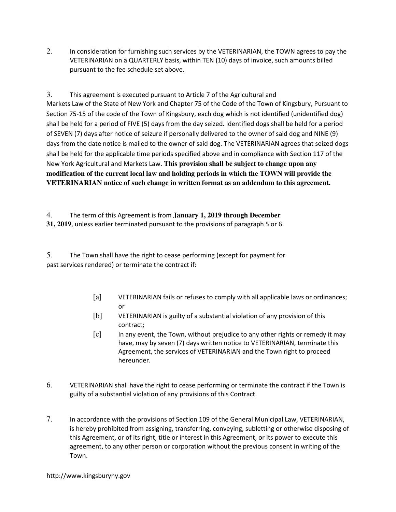2. In consideration for furnishing such services by the VETERINARIAN, the TOWN agrees to pay the VETERINARIAN on a QUARTERLY basis, within TEN (10) days of invoice, such amounts billed pursuant to the fee schedule set above.

3. This agreement is executed pursuant to Article 7 of the Agricultural and Markets Law of the State of New York and Chapter 75 of the Code of the Town of Kingsbury, Pursuant to Section 75-15 of the code of the Town of Kingsbury, each dog which is not identified (unidentified dog) shall be held for a period of FIVE (5) days from the day seized. Identified dogs shall be held for a period of SEVEN (7) days after notice of seizure if personally delivered to the owner of said dog and NINE (9) days from the date notice is mailed to the owner of said dog. The VETERINARIAN agrees that seized dogs shall be held for the applicable time periods specified above and in compliance with Section 117 of the New York Agricultural and Markets Law. **This provision shall be subject to change upon any modification of the current local law and holding periods in which the TOWN will provide the VETERINARIAN notice of such change in written format as an addendum to this agreement.** 

4. The term of this Agreement is from **January 1, 2019 through December 31, 2019**, unless earlier terminated pursuant to the provisions of paragraph 5 or 6.

5. The Town shall have the right to cease performing (except for payment for past services rendered) or terminate the contract if:

- [a] VETERINARIAN fails or refuses to comply with all applicable laws or ordinances; or
- [b] VETERINARIAN is guilty of a substantial violation of any provision of this contract;
- [c] In any event, the Town, without prejudice to any other rights or remedy it may have, may by seven (7) days written notice to VETERINARIAN, terminate this Agreement, the services of VETERINARIAN and the Town right to proceed hereunder.
- 6. VETERINARIAN shall have the right to cease performing or terminate the contract if the Town is guilty of a substantial violation of any provisions of this Contract.
- 7. In accordance with the provisions of Section 109 of the General Municipal Law, VETERINARIAN, is hereby prohibited from assigning, transferring, conveying, subletting or otherwise disposing of this Agreement, or of its right, title or interest in this Agreement, or its power to execute this agreement, to any other person or corporation without the previous consent in writing of the Town.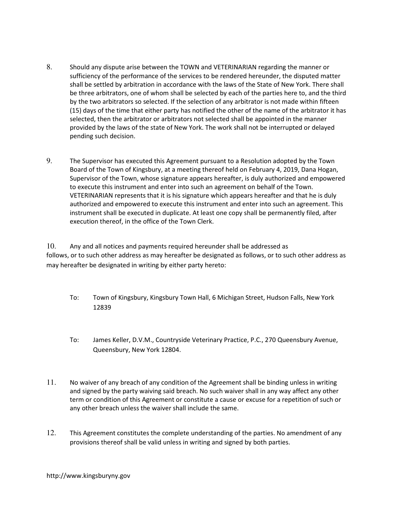- 8. Should any dispute arise between the TOWN and VETERINARIAN regarding the manner or sufficiency of the performance of the services to be rendered hereunder, the disputed matter shall be settled by arbitration in accordance with the laws of the State of New York. There shall be three arbitrators, one of whom shall be selected by each of the parties here to, and the third by the two arbitrators so selected. If the selection of any arbitrator is not made within fifteen (15) days of the time that either party has notified the other of the name of the arbitrator it has selected, then the arbitrator or arbitrators not selected shall be appointed in the manner provided by the laws of the state of New York. The work shall not be interrupted or delayed pending such decision.
- 9. The Supervisor has executed this Agreement pursuant to a Resolution adopted by the Town Board of the Town of Kingsbury, at a meeting thereof held on February 4, 2019, Dana Hogan, Supervisor of the Town, whose signature appears hereafter, is duly authorized and empowered to execute this instrument and enter into such an agreement on behalf of the Town. VETERINARIAN represents that it is his signature which appears hereafter and that he is duly authorized and empowered to execute this instrument and enter into such an agreement. This instrument shall be executed in duplicate. At least one copy shall be permanently filed, after execution thereof, in the office of the Town Clerk.

10. Any and all notices and payments required hereunder shall be addressed as follows, or to such other address as may hereafter be designated as follows, or to such other address as may hereafter be designated in writing by either party hereto:

- To: Town of Kingsbury, Kingsbury Town Hall, 6 Michigan Street, Hudson Falls, New York 12839
- To: James Keller, D.V.M., Countryside Veterinary Practice, P.C., 270 Queensbury Avenue, Queensbury, New York 12804.
- 11. No waiver of any breach of any condition of the Agreement shall be binding unless in writing and signed by the party waiving said breach. No such waiver shall in any way affect any other term or condition of this Agreement or constitute a cause or excuse for a repetition of such or any other breach unless the waiver shall include the same.
- 12. This Agreement constitutes the complete understanding of the parties. No amendment of any provisions thereof shall be valid unless in writing and signed by both parties.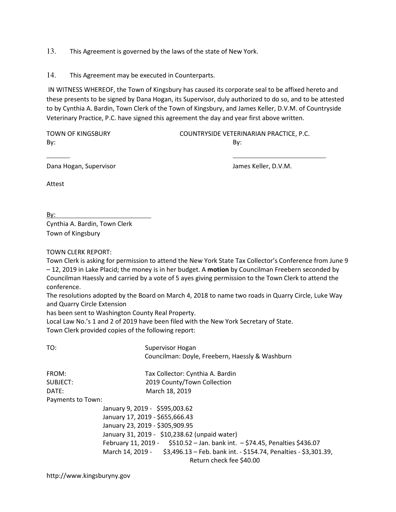13. This Agreement is governed by the laws of the state of New York.

14. This Agreement may be executed in Counterparts.

 IN WITNESS WHEREOF, the Town of Kingsbury has caused its corporate seal to be affixed hereto and these presents to be signed by Dana Hogan, its Supervisor, duly authorized to do so, and to be attested to by Cynthia A. Bardin, Town Clerk of the Town of Kingsbury, and James Keller, D.V.M. of Countryside Veterinary Practice, P.C. have signed this agreement the day and year first above written.

By: By:

TOWN OF KINGSBURY COUNTRYSIDE VETERINARIAN PRACTICE, P.C.

Dana Hogan, Supervisor

James Keller, D.V.M.

Attest

By: Cynthia A. Bardin, Town Clerk Town of Kingsbury

TOWN CLERK REPORT:

Town Clerk is asking for permission to attend the New York State Tax Collector's Conference from June 9 – 12, 2019 in Lake Placid; the money is in her budget. A motion by Councilman Freebern seconded by Councilman Haessly and carried by a vote of 5 ayes giving permission to the Town Clerk to attend the conference.

The resolutions adopted by the Board on March 4, 2018 to name two roads in Quarry Circle, Luke Way and Quarry Circle Extension

has been sent to Washington County Real Property.

Local Law No.'s 1 and 2 of 2019 have been filed with the New York Secretary of State.

Town Clerk provided copies of the following report:

| TO:               | Supervisor Hogan                                                                 |
|-------------------|----------------------------------------------------------------------------------|
|                   | Councilman: Doyle, Freebern, Haessly & Washburn                                  |
| FROM:             | Tax Collector: Cynthia A. Bardin                                                 |
| SUBJECT:          | 2019 County/Town Collection                                                      |
| DATE:             | March 18, 2019                                                                   |
| Payments to Town: |                                                                                  |
|                   | January 9, 2019 - \$595,003.62                                                   |
|                   | January 17, 2019 - \$655,666.43                                                  |
|                   | January 23, 2019 - \$305,909.95                                                  |
|                   | January 31, 2019 - \$10,238.62 (unpaid water)                                    |
|                   | February 11, 2019 - \$510.52 - Jan. bank int. - \$74.45, Penalties \$436.07      |
|                   | March 14, 2019 - \$3,496.13 - Feb. bank int. - \$154.74, Penalties - \$3,301.39, |
|                   | Return check fee \$40.00                                                         |
|                   |                                                                                  |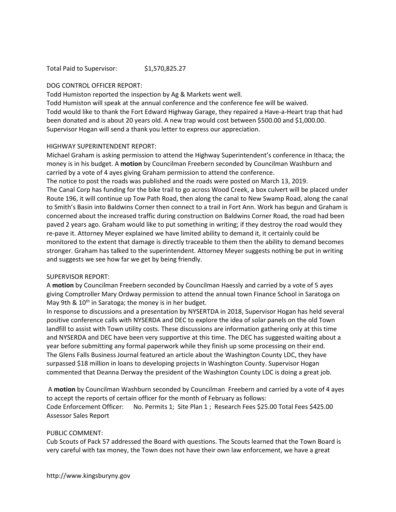Total Paid to Supervisor: \$1,570,825.27

### DOG CONTROL OFFICER REPORT:

Todd Humiston reported the inspection by Ag & Markets went well.

Todd Humiston will speak at the annual conference and the conference fee will be waived. Todd would like to thank the Fort Edward Highway Garage, they repaired a Have-a-Heart trap that had been donated and is about 20 years old. A new trap would cost between \$500.00 and \$1,000.00. Supervisor Hogan will send a thank you letter to express our appreciation.

#### HIGHWAY SUPERINTENDENT REPORT:

Michael Graham is asking permission to attend the Highway Superintendent's conference in Ithaca; the money is in his budget. A motion by Councilman Freebern seconded by Councilman Washburn and carried by a vote of 4 ayes giving Graham permission to attend the conference.

The notice to post the roads was published and the roads were posted on March 13, 2019. The Canal Corp has funding for the bike trail to go across Wood Creek, a box culvert will be placed under Route 196, it will continue up Tow Path Road, then along the canal to New Swamp Road, along the canal to Smith's Basin into Baldwins Corner then connect to a trail in Fort Ann. Work has begun and Graham is concerned about the increased traffic during construction on Baldwins Corner Road, the road had been paved 2 years ago. Graham would like to put something in writing; if they destroy the road would they re-pave it. Attorney Meyer explained we have limited ability to demand it, it certainly could be monitored to the extent that damage is directly traceable to them then the ability to demand becomes stronger. Graham has talked to the superintendent. Attorney Meyer suggests nothing be put in writing and suggests we see how far we get by being friendly.

## SUPERVISOR REPORT:

A motion by Councilman Freebern seconded by Councilman Haessly and carried by a vote of 5 ayes giving Comptroller Mary Ordway permission to attend the annual town Finance School in Saratoga on May 9th &  $10<sup>th</sup>$  in Saratoga; the money is in her budget.

In response to discussions and a presentation by NYSERTDA in 2018, Supervisor Hogan has held several positive conference calls with NYSERDA and DEC to explore the idea of solar panels on the old Town landfill to assist with Town utility costs. These discussions are information gathering only at this time and NYSERDA and DEC have been very supportive at this time. The DEC has suggested waiting about a year before submitting any formal paperwork while they finish up some processing on their end. The Glens Falls Business Journal featured an article about the Washington County LDC, they have surpassed \$18 million in loans to developing projects in Washington County. Supervisor Hogan commented that Deanna Derway the president of the Washington County LDC is doing a great job.

 A motion by Councilman Washburn seconded by Councilman Freebern and carried by a vote of 4 ayes to accept the reports of certain officer for the month of February as follows: Code Enforcement Officer: No. Permits 1; Site Plan 1 ; Research Fees \$25.00 Total Fees \$425.00 Assessor Sales Report

#### PUBLIC COMMENT:

Cub Scouts of Pack 57 addressed the Board with questions. The Scouts learned that the Town Board is very careful with tax money, the Town does not have their own law enforcement, we have a great